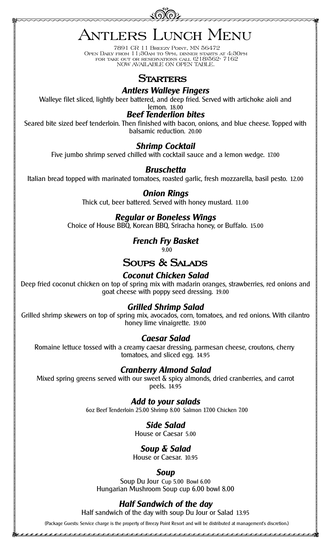Antlers Lunch Menu

7891 CR 11 Breezy Point, MN 56472 Open Daily from 11;30am to 9pm, dinner starts at 4:30pm for take out or reservations call (218)562- 7162 NOW AVAILABLE ON OPEN TABLE.

# **Starters**

## *Antlers Walleye Fingers*

Walleye filet sliced, lightly beer battered, and deep fried. Served with artichoke aioli and lemon. 18.00

*Beef Tenderlion bites*

Seared bite sized beef tenderloin. Then finished with bacon, onions, and blue cheese. Topped with balsamic reduction. 20.00

# *Shrimp Cocktail*

Five jumbo shrimp served chilled with cocktail sauce and a lemon wedge. 17.00

### *Bruschetta*

Italian bread topped with marinated tomatoes, roasted garlic, fresh mozzarella, basil pesto. 12.00

### *Onion Rings*

Thick cut, beer battered. Served with honey mustard. 11.00

## *Regular or Boneless Wings*

Choice of House BBQ, Korean BBQ, Sriracha honey, or Buffalo. 15.00

# *French Fry Basket*

9.00

# **Soups & Salads**

## *Coconut Chicken Salad*

Deep fried coconut chicken on top of spring mix with madarin oranges, strawberries, red onions and goat cheese with poppy seed dressing. 19.00

## *Grilled Shrimp Salad*

Grilled shrimp skewers on top of spring mix, avocados, corn, tomatoes, and red onions. With cilantro honey lime vinaigrette. 19.00

#### *Caesar Salad*

Romaine lettuce tossed with a creamy caesar dressing, parmesan cheese, croutons, cherry tomatoes, and sliced egg. 14.95

## *Cranberry Almond Salad*

Mixed spring greens served with our sweet  $\bar{\alpha}$  spicy almonds, dried cranberries, and carrot peels. 14.95

*Add to your salads*

6oz Beef Tenderloin 25.00 Shrimp 8.00 Salmon 17.00 Chicken 7.00

*Side Salad* House or Caesar 5.00

## *Soup & Salad*

House or Caesar. 10.95

## *Soup*

Soup Du Jour Cup 5.00 Bowl 6.00 Hungarian Mushroom Soup cup 6.00 bowl 8.00

# *Half Sandwich of the day*

Half sandwich of the day with soup Du Jour or Salad 13.95

<u> そうきょうきょうきょうきょうきょうきょうきょうきょうきょうしょうきょうきょうきょうきょう</u>

(Package Guests: Service charge is the property of Breezy Point Resort and will be distributed at management's discretion.)